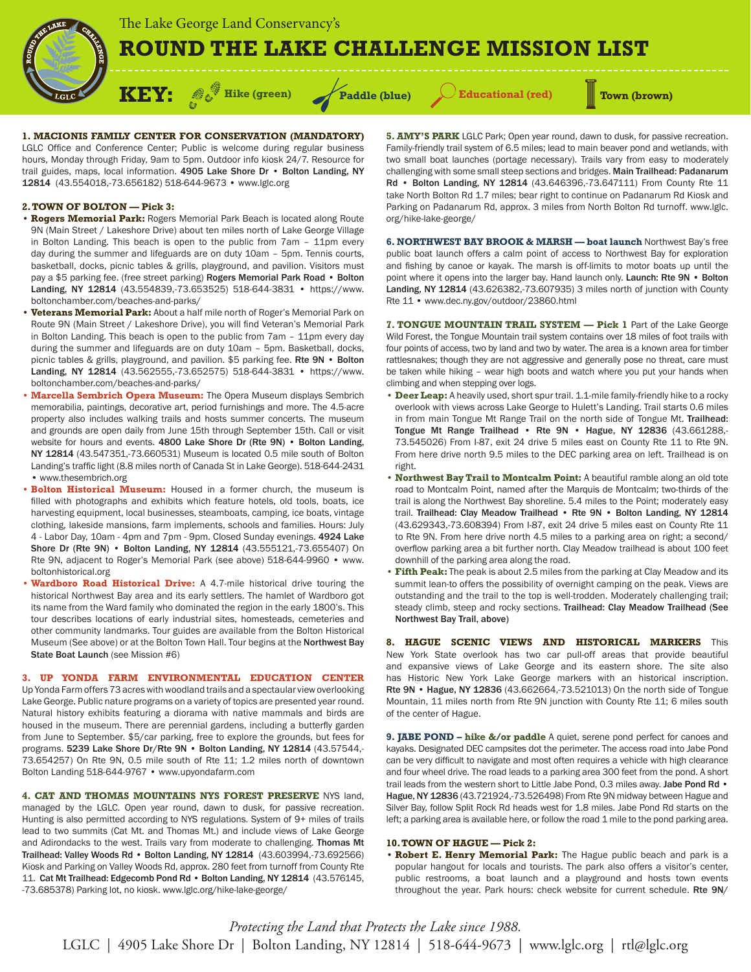# **ROUND THE LAKE CHALLENGE MISSION LIST**

**Faddle (blue)**  $\qquad$ **Educational (red) Town (brown)** 

# **1. MACIONIS FAMILY CENTER FOR CONSERVATION (MANDATORY)**

**KEY:**  $\mathscr{C}$  Hike (green)

LGLC Office and Conference Center; Public is welcome during regular business hours, Monday through Friday, 9am to 5pm. Outdoor info kiosk 24/7. Resource for trail guides, maps, local information. 4905 Lake Shore Dr • Bolton Landing, NY 12814 (43.554018,-73.656182) 518-644-9673 • www.lglc.org

# **2. TOWN OF BOLTON — Pick 3:**

- **Rogers Memorial Park:** Rogers Memorial Park Beach is located along Route 9N (Main Street / Lakeshore Drive) about ten miles north of Lake George Village in Bolton Landing. This beach is open to the public from 7am – 11pm every day during the summer and lifeguards are on duty 10am – 5pm. Tennis courts, basketball, docks, picnic tables & grills, playground, and pavilion. Visitors must pay a \$5 parking fee. (free street parking) Rogers Memorial Park Road • Bolton Landing, NY 12814 (43.554839,-73.653525) 518-644-3831 • https://www. boltonchamber.com/beaches-and-parks/
- **Veterans Memorial Park:** About a half mile north of Roger's Memorial Park on Route 9N (Main Street / Lakeshore Drive), you will find Veteran's Memorial Park in Bolton Landing. This beach is open to the public from 7am – 11pm every day during the summer and lifeguards are on duty 10am – 5pm. Basketball, docks, picnic tables & grills, playground, and pavilion. \$5 parking fee. Rte 9N • Bolton Landing, NY 12814 (43.562555,-73.652575) 518-644-3831 • https://www. boltonchamber.com/beaches-and-parks/
- **Marcella Sembrich Opera Museum:** The Opera Museum displays Sembrich memorabilia, paintings, decorative art, period furnishings and more. The 4.5-acre property also includes walking trails and hosts summer concerts. The museum and grounds are open daily from June 15th through September 15th. Call or visit website for hours and events. 4800 Lake Shore Dr (Rte 9N) • Bolton Landing, NY 12814 (43.547351,-73.660531) Museum is located 0.5 mile south of Bolton Landing's traffic light (8.8 miles north of Canada St in Lake George). 518-644-2431 • www.thesembrich.org
- **Bolton Historical Museum:** Housed in a former church, the museum is filled with photographs and exhibits which feature hotels, old tools, boats, ice harvesting equipment, local businesses, steamboats, camping, ice boats, vintage clothing, lakeside mansions, farm implements, schools and families. Hours: July 4 - Labor Day, 10am - 4pm and 7pm - 9pm. Closed Sunday evenings. 4924 Lake Shore Dr (Rte 9N) • Bolton Landing, NY 12814 (43.555121,-73.655407) On Rte 9N, adjacent to Roger's Memorial Park (see above) 518-644-9960 • www. boltonhistorical.org
- **Wardboro Road Historical Drive:** A 4.7-mile historical drive touring the historical Northwest Bay area and its early settlers. The hamlet of Wardboro got its name from the Ward family who dominated the region in the early 1800's. This tour describes locations of early industrial sites, homesteads, cemeteries and other community landmarks. Tour guides are available from the Bolton Historical Museum (See above) or at the Bolton Town Hall. Tour begins at the Northwest Bay State Boat Launch (see Mission #6)

**3. UP YONDA FARM ENVIRONMENTAL EDUCATION CENTER**  Up Yonda Farm offers 73 acres with woodland trails and a spectaular view overlooking Lake George. Public nature programs on a variety of topics are presented year round. Natural history exhibits featuring a diorama with native mammals and birds are housed in the museum. There are perennial gardens, including a butterfly garden from June to September. \$5/car parking, free to explore the grounds, but fees for programs. 5239 Lake Shore Dr/Rte 9N • Bolton Landing, NY 12814 (43.57544,-73.654257) On Rte 9N, 0.5 mile south of Rte 11; 1.2 miles north of downtown Bolton Landing 518-644-9767 • www.upyondafarm.com

**4. CAT AND THOMAS MOUNTAINS NYS FOREST PRESERVE** NYS land, managed by the LGLC. Open year round, dawn to dusk, for passive recreation. Hunting is also permitted according to NYS regulations. System of 9+ miles of trails lead to two summits (Cat Mt. and Thomas Mt.) and include views of Lake George and Adirondacks to the west. Trails vary from moderate to challenging. Thomas Mt Trailhead: Valley Woods Rd • Bolton Landing, NY 12814 (43.603994,-73.692566) Kiosk and Parking on Valley Woods Rd, approx. 280 feet from turnoff from County Rte 11. Cat Mt Trailhead: Edgecomb Pond Rd • Bolton Landing, NY 12814 (43.576145, -73.685378) Parking lot, no kiosk. www.lglc.org/hike-lake-george/

**5. AMY'S PARK** LGLC Park; Open year round, dawn to dusk, for passive recreation. Family-friendly trail system of 6.5 miles; lead to main beaver pond and wetlands, with two small boat launches (portage necessary). Trails vary from easy to moderately challenging with some small steep sections and bridges. Main Trailhead: Padanarum Rd • Bolton Landing, NY 12814 (43.646396,-73.647111) From County Rte 11 take North Bolton Rd 1.7 miles; bear right to continue on Padanarum Rd Kiosk and Parking on Padanarum Rd, approx. 3 miles from North Bolton Rd turnoff. www.lglc. org/hike-lake-george/

**6. NORTHWEST BAY BROOK & MARSH — boat launch** Northwest Bay's free public boat launch offers a calm point of access to Northwest Bay for exploration and fishing by canoe or kayak. The marsh is off-limits to motor boats up until the point where it opens into the larger bay. Hand launch only. Launch: Rte 9N • Bolton Landing, NY 12814 (43.626382,-73.607935) 3 miles north of junction with County Rte 11 • www.dec.ny.gov/outdoor/23860.html

**7. TONGUE MOUNTAIN TRAIL SYSTEM — Pick 1** Part of the Lake George Wild Forest, the Tongue Mountain trail system contains over 18 miles of foot trails with four points of access, two by land and two by water. The area is a known area for timber rattlesnakes; though they are not aggressive and generally pose no threat, care must be taken while hiking – wear high boots and watch where you put your hands when climbing and when stepping over logs.

- **Deer Leap:** A heavily used, short spur trail. 1.1-mile family-friendly hike to a rocky overlook with views across Lake George to Hulett's Landing. Trail starts 0.6 miles in from main Tongue Mt Range Trail on the north side of Tongue Mt. Trailhead: Tongue Mt Range Trailhead • Rte 9N • Hague, NY 12836 (43.661288,-73.545026) From I-87, exit 24 drive 5 miles east on County Rte 11 to Rte 9N. From here drive north 9.5 miles to the DEC parking area on left. Trailhead is on right.
- **Northwest Bay Trail to Montcalm Point:** A beautiful ramble along an old tote road to Montcalm Point, named after the Marquis de Montcalm; two-thirds of the trail is along the Northwest Bay shoreline. 5.4 miles to the Point; moderately easy trail. Trailhead: Clay Meadow Trailhead • Rte 9N • Bolton Landing, NY 12814 (43.629343,-73.608394) From I-87, exit 24 drive 5 miles east on County Rte 11 to Rte 9N. From here drive north 4.5 miles to a parking area on right; a second/ overflow parking area a bit further north. Clay Meadow trailhead is about 100 feet downhill of the parking area along the road.
- **Fifth Peak:** The peak is about 2.5 miles from the parking at Clay Meadow and its summit lean-to offers the possibility of overnight camping on the peak. Views are outstanding and the trail to the top is well-trodden. Moderately challenging trail; steady climb, steep and rocky sections. Trailhead: Clay Meadow Trailhead (See Northwest Bay Trail, above)

**8. HAGUE SCENIC VIEWS AND HISTORICAL MARKERS** This New York State overlook has two car pull-off areas that provide beautiful and expansive views of Lake George and its eastern shore. The site also has Historic New York Lake George markers with an historical inscription. Rte 9N • Hague, NY 12836 (43.662664,-73.521013) On the north side of Tongue Mountain, 11 miles north from Rte 9N junction with County Rte 11; 6 miles south of the center of Hague.

**9. JABE POND – hike &/or paddle** A quiet, serene pond perfect for canoes and kayaks. Designated DEC campsites dot the perimeter. The access road into Jabe Pond can be very difficult to navigate and most often requires a vehicle with high clearance and four wheel drive. The road leads to a parking area 300 feet from the pond. A short trail leads from the western short to Little Jabe Pond, 0.3 miles away. Jabe Pond Rd . Hague, NY 12836 (43.721924,-73.526498) From Rte 9N midway between Hague and Silver Bay, follow Split Rock Rd heads west for 1.8 miles. Jabe Pond Rd starts on the left; a parking area is available here, or follow the road 1 mile to the pond parking area.

## **10. TOWN OF HAGUE — Pick 2:**

• **Robert E. Henry Memorial Park:** The Hague public beach and park is a popular hangout for locals and tourists. The park also offers a visitor's center, public restrooms, a boat launch and a playground and hosts town events throughout the year. Park hours: check website for current schedule. Rte 9N/

LGLC | 4905 Lake Shore Dr | Bolton Landing, NY 12814 | 518-644-9673 | www.lglc.org | rtl@lglc.org *Protecting the Land that Protects the Lake since 1988.*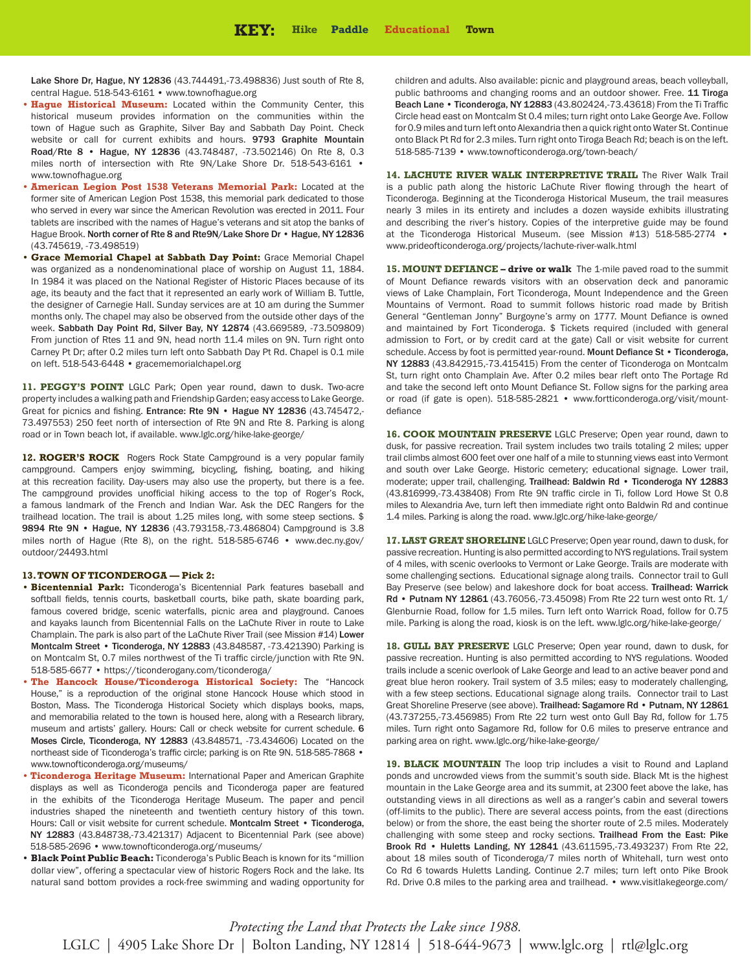Lake Shore Dr, Hague, NY 12836 (43.744491,-73.498836) Just south of Rte 8, central Hague. 518-543-6161 • www.townofhague.org

- **Hague Historical Museum:** Located within the Community Center, this historical museum provides information on the communities within the town of Hague such as Graphite, Silver Bay and Sabbath Day Point. Check website or call for current exhibits and hours. 9793 Graphite Mountain Road/Rte 8 • Hague, NY 12836 (43.748487, -73.502146) On Rte 8, 0.3 miles north of intersection with Rte 9N/Lake Shore Dr. 518-543-6161 • www.townofhague.org
- **American Legion Post 1538 Veterans Memorial Park:** Located at the former site of American Legion Post 1538, this memorial park dedicated to those who served in every war since the American Revolution was erected in 2011. Four tablets are inscribed with the names of Hague's veterans and sit atop the banks of Hague Brook. North corner of Rte 8 and Rte9N/Lake Shore Dr • Hague, NY 12836 (43.745619, -73.498519)
- **Grace Memorial Chapel at Sabbath Day Point:** Grace Memorial Chapel was organized as a nondenominational place of worship on August 11, 1884. In 1984 it was placed on the National Register of Historic Places because of its age, its beauty and the fact that it represented an early work of William B. Tuttle, the designer of Carnegie Hall. Sunday services are at 10 am during the Summer months only. The chapel may also be observed from the outside other days of the week. Sabbath Day Point Rd, Silver Bay, NY 12874 (43.669589, -73.509809) From junction of Rtes 11 and 9N, head north 11.4 miles on 9N. Turn right onto Carney Pt Dr; after 0.2 miles turn left onto Sabbath Day Pt Rd. Chapel is 0.1 mile on left. 518-543-6448 • gracememorialchapel.org

11. PEGGY'S POINT LGLC Park; Open year round, dawn to dusk. Two-acre property includes a walking path and Friendship Garden; easy access to Lake George. Great for picnics and fishing. Entrance: Rte 9N • Hague NY 12836 (43.745472,-73.497553) 250 feet north of intersection of Rte 9N and Rte 8. Parking is along road or in Town beach lot, if available. www.lglc.org/hike-lake-george/

12. ROGER'S ROCK Rogers Rock State Campground is a very popular family campground. Campers enjoy swimming, bicycling, fishing, boating, and hiking at this recreation facility. Day-users may also use the property, but there is a fee. The campground provides unofficial hiking access to the top of Roger's Rock, a famous landmark of the French and Indian War. Ask the DEC Rangers for the trailhead location. The trail is about 1.25 miles long, with some steep sections. \$ 9894 Rte 9N • Hague, NY 12836 (43.793158,-73.486804) Campground is 3.8 miles north of Hague (Rte 8), on the right. 518-585-6746 • www.dec.ny.gov/ outdoor/24493.html

#### **13. TOWN OF TICONDEROGA — Pick 2:**

- **Bicentennial Park:** Ticonderoga's Bicentennial Park features baseball and softball fields, tennis courts, basketball courts, bike path, skate boarding park, famous covered bridge, scenic waterfalls, picnic area and playground. Canoes and kayaks launch from Bicentennial Falls on the LaChute River in route to Lake Champlain. The park is also part of the LaChute River Trail (see Mission #14) Lower Montcalm Street • Ticonderoga, NY 12883 (43.848587, -73.421390) Parking is on Montcalm St, 0.7 miles northwest of the Ti traffic circle/junction with Rte 9N. 518-585-6677 • https://ticonderogany.com/ticonderoga/
- **The Hancock House/Ticonderoga Historical Society:** The "Hancock House," is a reproduction of the original stone Hancock House which stood in Boston, Mass. The Ticonderoga Historical Society which displays books, maps, and memorabilia related to the town is housed here, along with a Research library, museum and artists' gallery. Hours: Call or check website for current schedule. 6 Moses Circle, Ticonderoga, NY 12883 (43.848571, -73.434606) Located on the northeast side of Ticonderoga's traffic circle; parking is on Rte 9N. 518-585-7868 • www.townofticonderoga.org/museums/
- **Ticonderoga Heritage Museum:** International Paper and American Graphite displays as well as Ticonderoga pencils and Ticonderoga paper are featured in the exhibits of the Ticonderoga Heritage Museum. The paper and pencil industries shaped the nineteenth and twentieth century history of this town. Hours: Call or visit website for current schedule. Montcalm Street • Ticonderoga, NY 12883 (43.848738,-73.421317) Adjacent to Bicentennial Park (see above) 518-585-2696 • www.townofticonderoga.org/museums/
- **Black Point Public Beach:** Ticonderoga's Public Beach is known for its "million dollar view", offering a spectacular view of historic Rogers Rock and the lake. Its natural sand bottom provides a rock-free swimming and wading opportunity for

children and adults. Also available: picnic and playground areas, beach volleyball, public bathrooms and changing rooms and an outdoor shower. Free. 11 Tiroga Beach Lane • Ticonderoga, NY 12883 (43.802424,-73.43618) From the Ti Traffic Circle head east on Montcalm St 0.4 miles; turn right onto Lake George Ave. Follow for 0.9 miles and turn left onto Alexandria then a quick right onto Water St. Continue onto Black Pt Rd for 2.3 miles. Turn right onto Tiroga Beach Rd; beach is on the left. 518-585-7139 • www.townofticonderoga.org/town-beach/

**14. LACHUTE RIVER WALK INTERPRETIVE TRAIL** The River Walk Trail is a public path along the historic LaChute River flowing through the heart of Ticonderoga. Beginning at the Ticonderoga Historical Museum, the trail measures nearly 3 miles in its entirety and includes a dozen wayside exhibits illustrating and describing the river's history. Copies of the interpretive guide may be found at the Ticonderoga Historical Museum. (see Mission #13) 518-585-2774 • www.prideofticonderoga.org/projects/lachute-river-walk.html

**15. MOUNT DEFIANCE – drive or walk** The 1-mile paved road to the summit of Mount Defiance rewards visitors with an observation deck and panoramic views of Lake Champlain, Fort Ticonderoga, Mount Independence and the Green Mountains of Vermont. Road to summit follows historic road made by British General "Gentleman Jonny" Burgoyne's army on 1777. Mount Defiance is owned and maintained by Fort Ticonderoga. \$ Tickets required (included with general admission to Fort, or by credit card at the gate) Call or visit website for current schedule. Access by foot is permitted year-round. Mount Defiance St . Ticonderoga, NY 12883 (43.842915,-73.415415) From the center of Ticonderoga on Montcalm St, turn right onto Champlain Ave. After 0.2 miles bear rleft onto The Portage Rd and take the second left onto Mount Defiance St. Follow signs for the parking area or road (if gate is open). 518-585-2821 • www.fortticonderoga.org/visit/mountdefiance

**16. COOK MOUNTAIN PRESERVE** LGLC Preserve; Open year round, dawn to dusk, for passive recreation. Trail system includes two trails totaling 2 miles; upper trail climbs almost 600 feet over one half of a mile to stunning views east into Vermont and south over Lake George. Historic cemetery; educational signage. Lower trail, moderate; upper trail, challenging. Trailhead: Baldwin Rd • Ticonderoga NY 12883 (43.816999,-73.438408) From Rte 9N traffic circle in Ti, follow Lord Howe St 0.8 miles to Alexandria Ave, turn left then immediate right onto Baldwin Rd and continue 1.4 miles. Parking is along the road. www.lglc.org/hike-lake-george/

**17. LAST GREAT SHORELINE** LGLC Preserve; Open year round, dawn to dusk, for passive recreation. Hunting is also permitted according to NYS regulations. Trail system of 4 miles, with scenic overlooks to Vermont or Lake George. Trails are moderate with some challenging sections. Educational signage along trails. Connector trail to Gull Bay Preserve (see below) and lakeshore dock for boat access. Trailhead: Warrick Rd • Putnam NY 12861 (43.76056,-73.45098) From Rte 22 turn west onto Rt. 1/ Glenburnie Road, follow for 1.5 miles. Turn left onto Warrick Road, follow for 0.75 mile. Parking is along the road, kiosk is on the left. www.lglc.org/hike-lake-george/

**18. GULL BAY PRESERVE** LGLC Preserve; Open year round, dawn to dusk, for passive recreation. Hunting is also permitted according to NYS regulations. Wooded trails include a scenic overlook of Lake George and lead to an active beaver pond and great blue heron rookery. Trail system of 3.5 miles; easy to moderately challenging, with a few steep sections. Educational signage along trails. Connector trail to Last Great Shoreline Preserve (see above). Trailhead: Sagamore Rd • Putnam, NY 12861 (43.737255,-73.456985) From Rte 22 turn west onto Gull Bay Rd, follow for 1.75 miles. Turn right onto Sagamore Rd, follow for 0.6 miles to preserve entrance and parking area on right. www.lglc.org/hike-lake-george/

19. BLACK MOUNTAIN The loop trip includes a visit to Round and Lapland ponds and uncrowded views from the summit's south side. Black Mt is the highest mountain in the Lake George area and its summit, at 2300 feet above the lake, has outstanding views in all directions as well as a ranger's cabin and several towers (off-limits to the public). There are several access points, from the east (directions below) or from the shore, the east being the shorter route of 2.5 miles. Moderately challenging with some steep and rocky sections. Trailhead From the East: Pike Brook Rd • Huletts Landing, NY 12841 (43.611595,-73.493237) From Rte 22, about 18 miles south of Ticonderoga/7 miles north of Whitehall, turn west onto Co Rd 6 towards Huletts Landing. Continue 2.7 miles; turn left onto Pike Brook Rd. Drive 0.8 miles to the parking area and trailhead. • www.visitlakegeorge.com/

LGLC | 4905 Lake Shore Dr | Bolton Landing, NY 12814 | 518-644-9673 | www.lglc.org | rtl@lglc.org *Protecting the Land that Protects the Lake since 1988.*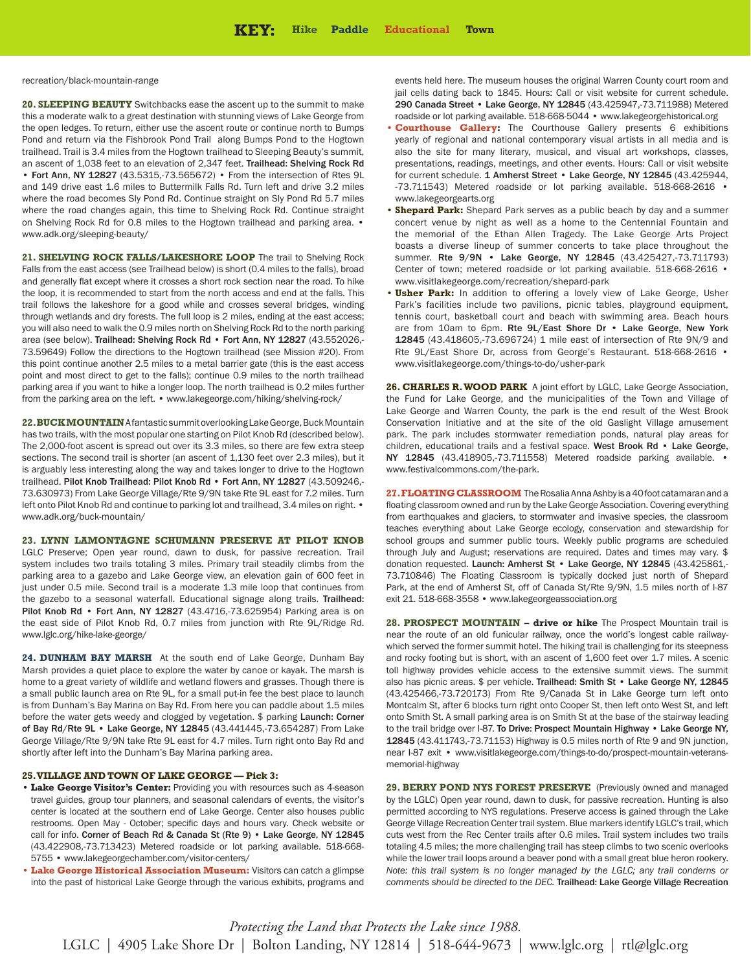recreation/black-mountain-range

**20. SLEEPING BEAUTY** Switchbacks ease the ascent up to the summit to make this a moderate walk to a great destination with stunning views of Lake George from the open ledges. To return, either use the ascent route or continue north to Bumps Pond and return via the Fishbrook Pond Trail along Bumps Pond to the Hogtown trailhead. Trail is 3.4 miles from the Hogtown trailhead to Sleeping Beauty's summit, an ascent of 1,038 feet to an elevation of 2,347 feet. Trailhead: Shelving Rock Rd • Fort Ann, NY 12827 (43.5315,-73.565672) • From the intersection of Rtes 9L and 149 drive east 1.6 miles to Buttermilk Falls Rd. Turn left and drive 3.2 miles where the road becomes Sly Pond Rd. Continue straight on Sly Pond Rd 5.7 miles where the road changes again, this time to Shelving Rock Rd. Continue straight on Shelving Rock Rd for 0.8 miles to the Hogtown trailhead and parking area. • www.adk.org/sleeping-beauty/

21. **SHELVING ROCK FALLS/LAKESHORE LOOP** The trail to Shelving Rock Falls from the east access (see Trailhead below) is short (0.4 miles to the falls), broad and generally flat except where it crosses a short rock section near the road. To hike the loop, it is recommended to start from the north access and end at the falls. This trail follows the lakeshore for a good while and crosses several bridges, winding through wetlands and dry forests. The full loop is 2 miles, ending at the east access; you will also need to walk the 0.9 miles north on Shelving Rock Rd to the north parking area (see below). Trailhead: Shelving Rock Rd • Fort Ann, NY 12827 (43.552026,- 73.59649) Follow the directions to the Hogtown trailhead (see Mission #20). From this point continue another 2.5 miles to a metal barrier gate (this is the east access point and most direct to get to the falls); continue 0.9 miles to the north trailhead parking area if you want to hike a longer loop. The north trailhead is 0.2 miles further from the parking area on the left. • www.lakegeorge.com/hiking/shelving-rock/

**22. BUCK MOUNTAIN**A fantastic summit overlooking Lake George, Buck Mountain has two trails, with the most popular one starting on Pilot Knob Rd (described below). The 2,000-foot ascent is spread out over its 3.3 miles, so there are few extra steep sections. The second trail is shorter (an ascent of 1,130 feet over 2.3 miles), but it is arguably less interesting along the way and takes longer to drive to the Hogtown trailhead. Pilot Knob Trailhead: Pilot Knob Rd · Fort Ann, NY 12827 (43.509246,-73.630973) From Lake George Village/Rte 9/9N take Rte 9L east for 7.2 miles. Turn left onto Pilot Knob Rd and continue to parking lot and trailhead, 3.4 miles on right. • www.adk.org/buck-mountain/

**23. LYNN LAMONTAGNE SCHUMANN PRESERVE AT PILOT KNOB**

LGLC Preserve; Open year round, dawn to dusk, for passive recreation. Trail system includes two trails totaling 3 miles. Primary trail steadily climbs from the parking area to a gazebo and Lake George view, an elevation gain of 600 feet in just under 0.5 mile. Second trail is a moderate 1.3 mile loop that continues from the gazebo to a seasonal waterfall. Educational signage along trails. Trailhead: Pilot Knob Rd • Fort Ann, NY 12827 (43.4716,-73.625954) Parking area is on the east side of Pilot Knob Rd, 0.7 miles from junction with Rte 9L/Ridge Rd. www.lglc.org/hike-lake-george/

**24. DUNHAM BAY MARSH** At the south end of Lake George, Dunham Bay Marsh provides a quiet place to explore the water by canoe or kayak. The marsh is home to a great variety of wildlife and wetland flowers and grasses. Though there is a small public launch area on Rte 9L, for a small put-in fee the best place to launch is from Dunham's Bay Marina on Bay Rd. From here you can paddle about 1.5 miles before the water gets weedy and clogged by vegetation. \$ parking Launch: Corner of Bay Rd/Rte 9L • Lake George, NY 12845 (43.441445,-73.654287) From Lake George Village/Rte 9/9N take Rte 9L east for 4.7 miles. Turn right onto Bay Rd and shortly after left into the Dunham's Bay Marina parking area.

### **25. VILLAGE AND TOWN OF LAKE GEORGE — Pick 3:**

- **Lake George Visitor's Center:** Providing you with resources such as 4-season travel guides, group tour planners, and seasonal calendars of events, the visitor's center is located at the southern end of Lake George. Center also houses public restrooms. Open May - October; specific days and hours vary. Check website or call for info. Corner of Beach Rd & Canada St (Rte 9) • Lake George, NY 12845 (43.422908,-73.713423) Metered roadside or lot parking available. 518-668- 5755 • www.lakegeorgechamber.com/visitor-centers/
- **Lake George Historical Association Museum:** Visitors can catch a glimpse into the past of historical Lake George through the various exhibits, programs and

events held here. The museum houses the original Warren County court room and jail cells dating back to 1845. Hours: Call or visit website for current schedule. 290 Canada Street • Lake George, NY 12845 (43.425947,-73.711988) Metered roadside or lot parking available. 518-668-5044 • www.lakegeorgehistorical.org

- **Courthouse Gallery:** The Courthouse Gallery presents 6 exhibitions yearly of regional and national contemporary visual artists in all media and is also the site for many literary, musical, and visual art workshops, classes, presentations, readings, meetings, and other events. Hours: Call or visit website for current schedule. 1 Amherst Street . Lake George, NY 12845 (43.425944, -73.711543) Metered roadside or lot parking available. 518-668-2616 • www.lakegeorgearts.org
- **Shepard Park:** Shepard Park serves as a public beach by day and a summer concert venue by night as well as a home to the Centennial Fountain and the memorial of the Ethan Allen Tragedy. The Lake George Arts Project boasts a diverse lineup of summer concerts to take place throughout the summer. Rte 9/9N · Lake George, NY 12845 (43.425427,-73.711793) Center of town; metered roadside or lot parking available. 518-668-2616 • www.visitlakegeorge.com/recreation/shepard-park
- **Usher Park:** In addition to offering a lovely view of Lake George, Usher Park's facilities include two pavilions, picnic tables, playground equipment, tennis court, basketball court and beach with swimming area. Beach hours are from 10am to 6pm. Rte 9L/East Shore Dr • Lake George, New York 12845 (43.418605,-73.696724) 1 mile east of intersection of Rte 9N/9 and Rte 9L/East Shore Dr, across from George's Restaurant. 518-668-2616 • www.visitlakegeorge.com/things-to-do/usher-park

**26. CHARLES R. WOOD PARK** A joint effort by LGLC, Lake George Association, the Fund for Lake George, and the municipalities of the Town and Village of Lake George and Warren County, the park is the end result of the West Brook Conservation Initiative and at the site of the old Gaslight Village amusement park. The park includes stormwater remediation ponds, natural play areas for children, educational trails and a festival space. West Brook Rd • Lake George, NY 12845 (43.418905,-73.711558) Metered roadside parking available. • www.festivalcommons.com/the-park.

**27. FLOATING CLASSROOM** The Rosalia Anna Ashby is a 40 foot catamaran and a floating classroom owned and run by the Lake George Association. Covering everything from earthquakes and glaciers, to stormwater and invasive species, the classroom teaches everything about Lake George ecology, conservation and stewardship for school groups and summer public tours. Weekly public programs are scheduled through July and August; reservations are required. Dates and times may vary. \$ donation requested. Launch: Amherst St • Lake George, NY 12845 (43.425861,-73.710846) The Floating Classroom is typically docked just north of Shepard Park, at the end of Amherst St, off of Canada St/Rte 9/9N, 1.5 miles north of I-87 exit 21. 518-668-3558 • www.lakegeorgeassociation.org

**28. PROSPECT MOUNTAIN – drive or hike** The Prospect Mountain trail is near the route of an old funicular railway, once the world's longest cable railwaywhich served the former summit hotel. The hiking trail is challenging for its steepness and rocky footing but is short, with an ascent of 1,600 feet over 1.7 miles. A scenic toll highway provides vehicle access to the extensive summit views. The summit also has picnic areas. \$ per vehicle. Trailhead: Smith St • Lake George NY, 12845 (43.425466,-73.720173) From Rte 9/Canada St in Lake George turn left onto Montcalm St, after 6 blocks turn right onto Cooper St, then left onto West St, and left onto Smith St. A small parking area is on Smith St at the base of the stairway leading to the trail bridge over I-87. To Drive: Prospect Mountain Highway • Lake George NY, 12845 (43.411743,-73.71153) Highway is 0.5 miles north of Rte 9 and 9N junction, near I-87 exit • www.visitlakegeorge.com/things-to-do/prospect-mountain-veteransmemorial-highway

29. BERRY POND NYS FOREST PRESERVE (Previously owned and managed by the LGLC) Open year round, dawn to dusk, for passive recreation. Hunting is also permitted according to NYS regulations. Preserve access is gained through the Lake George Village Recreation Center trail system. Blue markers identify LGLC's trail, which cuts west from the Rec Center trails after 0.6 miles. Trail system includes two trails totaling 4.5 miles; the more challenging trail has steep climbs to two scenic overlooks while the lower trail loops around a beaver pond with a small great blue heron rookery. *Note: this trail system is no longer managed by the LGLC; any trail conderns or comments should be directed to the DEC.* Trailhead: Lake George Village Recreation

LGLC | 4905 Lake Shore Dr | Bolton Landing, NY 12814 | 518-644-9673 | www.lglc.org | rtl@lglc.org *Protecting the Land that Protects the Lake since 1988.*